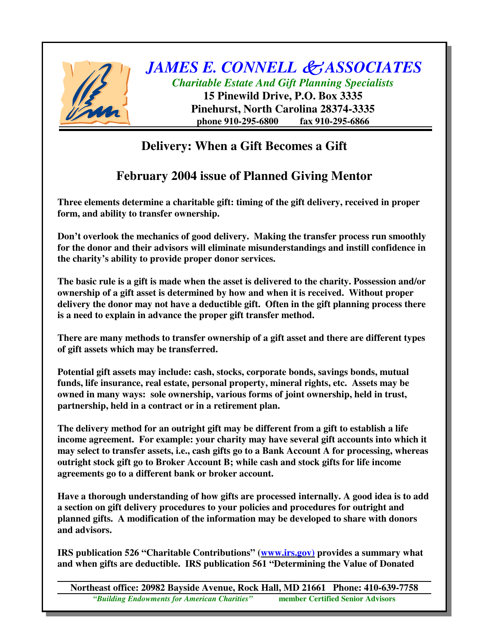

*JAMES E. CONNELL ASSOCIATES*

*Charitable Estate And Gift Planning Specialists*

**15 Pinewild Drive, P.O. Box 3335 Pinehurst, North Carolina 28374-3335 phone 910-295-6800 fax 910-295-6866**

## **Delivery: When a Gift Becomes a Gift**

## **February 2004 issue of Planned Giving Mentor**

**Three elements determine a charitable gift: timing of the gift delivery, received in proper form, and ability to transfer ownership.**

**Don't overlook the mechanics of good delivery. Making the transfer process run smoothly for the donor and their advisors will eliminate misunderstandings and instill confidence in the charity's ability to provide proper donor services.**

**The basic rule is a gift is made when the asset is delivered to the charity. Possession and/or ownership of a gift asset is determined by how and when it is received. Without proper delivery the donor may not have a deductible gift. Often in the gift planning process there is a need to explain in advance the proper gift transfer method.**

**There are many methods to transfer ownership of a gift asset and there are different types of gift assets which may be transferred.**

**Potential gift assets may include: cash, stocks, corporate bonds, savings bonds, mutual funds, life insurance, real estate, personal property, mineral rights, etc. Assets may be owned in many ways: sole ownership, various forms of joint ownership, held in trust, partnership, held in a contract or in a retirement plan.**

**The delivery method for an outright gift may be different from a gift to establish a life income agreement. For example: your charity may have several gift accounts into which it may select to transfer assets, i.e., cash gifts go to a Bank Account A for processing, whereas outright stock gift go to Broker Account B; while cash and stock gifts for life income agreements go to a different bank or broker account.**

**Have a thorough understanding of how gifts are processed internally. A good idea is to add a section on gift delivery procedures to your policies and procedures for outright and planned gifts. A modification of the information may be developed to share with donors and advisors.**

**IRS publication 526 "Charitable Contributions" (www.irs.gov) provides a summary what and when gifts are deductible. IRS publication 561 "Determining the Value of Donated**